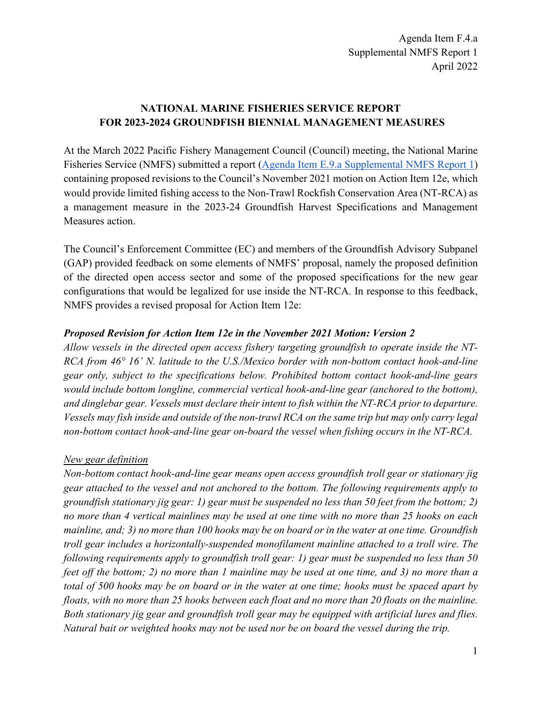# **NATIONAL MARINE FISHERIES SERVICE REPORT FOR 2023-2024 GROUNDFISH BIENNIAL MANAGEMENT MEASURES**

At the March 2022 Pacific Fishery Management Council (Council) meeting, the National Marine Fisheries Service (NMFS) submitted a report [\(Agenda Item E.9.a Supplemental NMFS Report 1\)](https://www.pcouncil.org/documents/2022/03/e-9-a-supplemental-nmfs-report-1.pdf/) containing proposed revisions to the Council's November 2021 motion on Action Item 12e, which would provide limited fishing access to the Non-Trawl Rockfish Conservation Area (NT-RCA) as a management measure in the 2023-24 Groundfish Harvest Specifications and Management Measures action.

The Council's Enforcement Committee (EC) and members of the Groundfish Advisory Subpanel (GAP) provided feedback on some elements of NMFS' proposal, namely the proposed definition of the directed open access sector and some of the proposed specifications for the new gear configurations that would be legalized for use inside the NT-RCA. In response to this feedback, NMFS provides a revised proposal for Action Item 12e:

## *Proposed Revision for Action Item 12e in the November 2021 Motion: Version 2*

*Allow vessels in the directed open access fishery targeting groundfish to operate inside the NT-RCA from 46° 16' N. latitude to the U.S./Mexico border with non-bottom contact hook-and-line gear only, subject to the specifications below. Prohibited bottom contact hook-and-line gears would include bottom longline, commercial vertical hook-and-line gear (anchored to the bottom), and dinglebar gear. Vessels must declare their intent to fish within the NT-RCA prior to departure. Vessels may fish inside and outside of the non-trawl RCA on the same trip but may only carry legal non-bottom contact hook-and-line gear on-board the vessel when fishing occurs in the NT-RCA.*

## *New gear definition*

*Non-bottom contact hook-and-line gear means open access groundfish troll gear or stationary jig gear attached to the vessel and not anchored to the bottom. The following requirements apply to groundfish stationary jig gear: 1) gear must be suspended no less than 50 feet from the bottom; 2) no more than 4 vertical mainlines may be used at one time with no more than 25 hooks on each mainline, and; 3) no more than 100 hooks may be on board or in the water at one time. Groundfish troll gear includes a horizontally-suspended monofilament mainline attached to a troll wire. The following requirements apply to groundfish troll gear: 1) gear must be suspended no less than 50 feet off the bottom; 2) no more than 1 mainline may be used at one time, and 3) no more than a total of 500 hooks may be on board or in the water at one time; hooks must be spaced apart by floats, with no more than 25 hooks between each float and no more than 20 floats on the mainline. Both stationary jig gear and groundfish troll gear may be equipped with artificial lures and flies. Natural bait or weighted hooks may not be used nor be on board the vessel during the trip.*